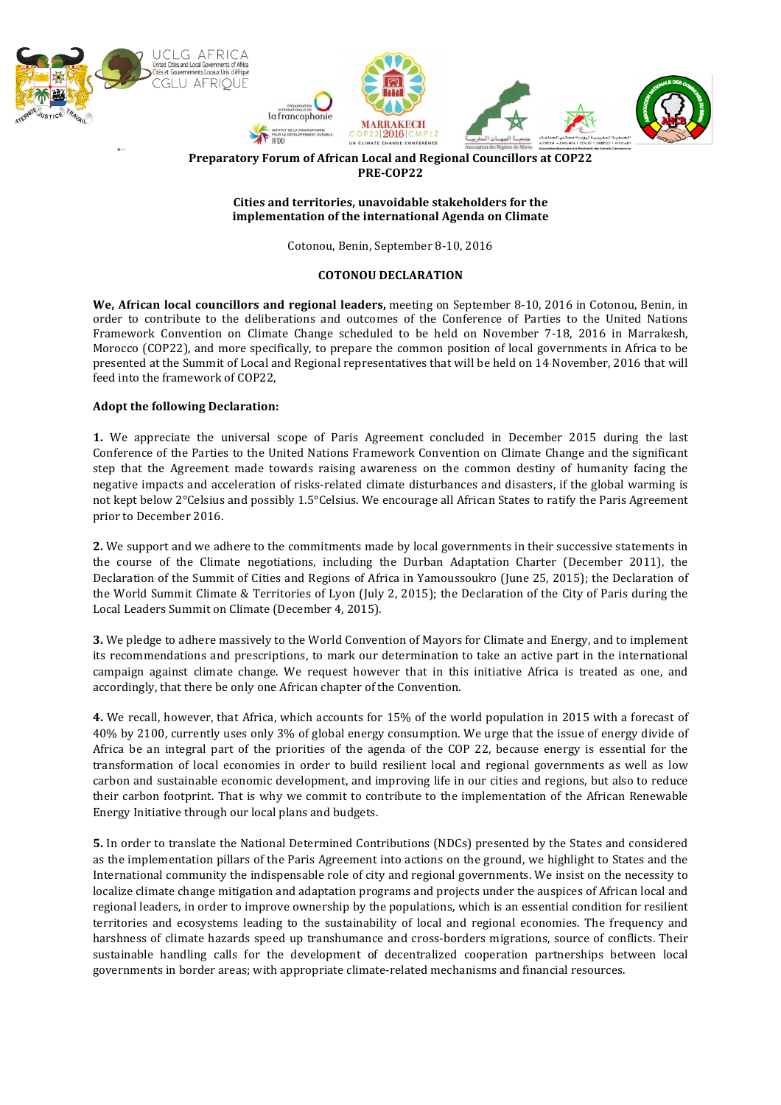

**Preparatory Forum of African Local and Regional Councillors at COP22 PRE-COP22**

## Cities and territories, unavoidable stakeholders for the **implementation of the international Agenda on Climate**

Cotonou, Benin, September 8-10, 2016

## **COTONOU DECLARATION**

We, African local councillors and regional leaders, meeting on September 8-10, 2016 in Cotonou, Benin, in order to contribute to the deliberations and outcomes of the Conference of Parties to the United Nations Framework Convention on Climate Change scheduled to be held on November 7-18, 2016 in Marrakesh, Morocco (COP22), and more specifically, to prepare the common position of local governments in Africa to be presented at the Summit of Local and Regional representatives that will be held on 14 November, 2016 that will feed into the framework of COP22,

## **Adopt the following Declaration:**

**1.** We appreciate the universal scope of Paris Agreement concluded in December 2015 during the last Conference of the Parties to the United Nations Framework Convention on Climate Change and the significant step that the Agreement made towards raising awareness on the common destiny of humanity facing the negative impacts and acceleration of risks-related climate disturbances and disasters, if the global warming is not kept below  $2^{\circ}$ Celsius and possibly 1.5°Celsius. We encourage all African States to ratify the Paris Agreement prior to December 2016.

**2.** We support and we adhere to the commitments made by local governments in their successive statements in the course of the Climate negotiations, including the Durban Adaptation Charter (December 2011), the Declaration of the Summit of Cities and Regions of Africa in Yamoussoukro (June 25, 2015); the Declaration of the World Summit Climate & Territories of Lyon (July 2, 2015); the Declaration of the City of Paris during the Local Leaders Summit on Climate (December 4, 2015).

**3.** We pledge to adhere massively to the World Convention of Mayors for Climate and Energy, and to implement its recommendations and prescriptions, to mark our determination to take an active part in the international campaign against climate change. We request however that in this initiative Africa is treated as one, and accordingly, that there be only one African chapter of the Convention.

**4.** We recall, however, that Africa, which accounts for 15% of the world population in 2015 with a forecast of 40% by 2100, currently uses only 3% of global energy consumption. We urge that the issue of energy divide of Africa be an integral part of the priorities of the agenda of the COP 22, because energy is essential for the transformation of local economies in order to build resilient local and regional governments as well as low carbon and sustainable economic development, and improving life in our cities and regions, but also to reduce their carbon footprint. That is why we commit to contribute to the implementation of the African Renewable Energy Initiative through our local plans and budgets.

**5.** In order to translate the National Determined Contributions (NDCs) presented by the States and considered as the implementation pillars of the Paris Agreement into actions on the ground, we highlight to States and the International community the indispensable role of city and regional governments. We insist on the necessity to localize climate change mitigation and adaptation programs and projects under the auspices of African local and regional leaders, in order to improve ownership by the populations, which is an essential condition for resilient territories and ecosystems leading to the sustainability of local and regional economies. The frequency and harshness of climate hazards speed up transhumance and cross-borders migrations, source of conflicts. Their sustainable handling calls for the development of decentralized cooperation partnerships between local governments in border areas; with appropriate climate-related mechanisms and financial resources.